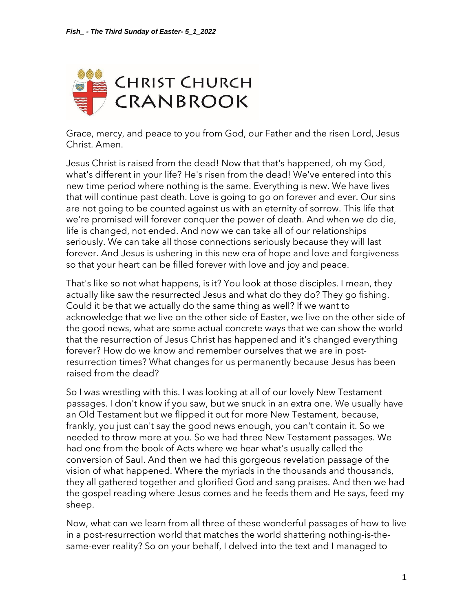

Grace, mercy, and peace to you from God, our Father and the risen Lord, Jesus Christ. Amen.

Jesus Christ is raised from the dead! Now that that's happened, oh my God, what's different in your life? He's risen from the dead! We've entered into this new time period where nothing is the same. Everything is new. We have lives that will continue past death. Love is going to go on forever and ever. Our sins are not going to be counted against us with an eternity of sorrow. This life that we're promised will forever conquer the power of death. And when we do die, life is changed, not ended. And now we can take all of our relationships seriously. We can take all those connections seriously because they will last forever. And Jesus is ushering in this new era of hope and love and forgiveness so that your heart can be filled forever with love and joy and peace.

That's like so not what happens, is it? You look at those disciples. I mean, they actually like saw the resurrected Jesus and what do they do? They go fishing. Could it be that we actually do the same thing as well? If we want to acknowledge that we live on the other side of Easter, we live on the other side of the good news, what are some actual concrete ways that we can show the world that the resurrection of Jesus Christ has happened and it's changed everything forever? How do we know and remember ourselves that we are in postresurrection times? What changes for us permanently because Jesus has been raised from the dead?

So I was wrestling with this. I was looking at all of our lovely New Testament passages. I don't know if you saw, but we snuck in an extra one. We usually have an Old Testament but we flipped it out for more New Testament, because, frankly, you just can't say the good news enough, you can't contain it. So we needed to throw more at you. So we had three New Testament passages. We had one from the book of Acts where we hear what's usually called the conversion of Saul. And then we had this gorgeous revelation passage of the vision of what happened. Where the myriads in the thousands and thousands, they all gathered together and glorified God and sang praises. And then we had the gospel reading where Jesus comes and he feeds them and He says, feed my sheep.

Now, what can we learn from all three of these wonderful passages of how to live in a post-resurrection world that matches the world shattering nothing-is-thesame-ever reality? So on your behalf, I delved into the text and I managed to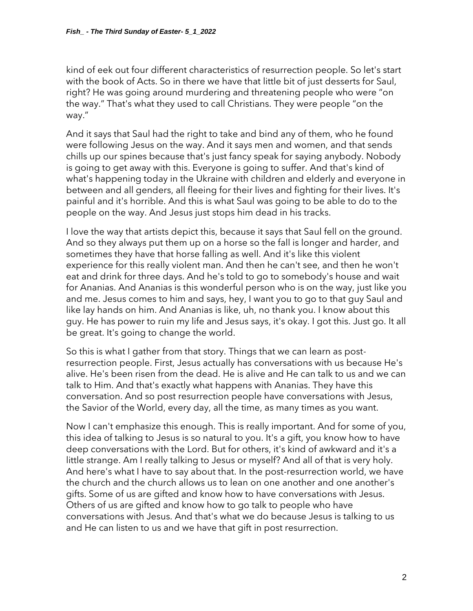kind of eek out four different characteristics of resurrection people. So let's start with the book of Acts. So in there we have that little bit of just desserts for Saul, right? He was going around murdering and threatening people who were "on the way." That's what they used to call Christians. They were people "on the way."

And it says that Saul had the right to take and bind any of them, who he found were following Jesus on the way. And it says men and women, and that sends chills up our spines because that's just fancy speak for saying anybody. Nobody is going to get away with this. Everyone is going to suffer. And that's kind of what's happening today in the Ukraine with children and elderly and everyone in between and all genders, all fleeing for their lives and fighting for their lives. It's painful and it's horrible. And this is what Saul was going to be able to do to the people on the way. And Jesus just stops him dead in his tracks.

I love the way that artists depict this, because it says that Saul fell on the ground. And so they always put them up on a horse so the fall is longer and harder, and sometimes they have that horse falling as well. And it's like this violent experience for this really violent man. And then he can't see, and then he won't eat and drink for three days. And he's told to go to somebody's house and wait for Ananias. And Ananias is this wonderful person who is on the way, just like you and me. Jesus comes to him and says, hey, I want you to go to that guy Saul and like lay hands on him. And Ananias is like, uh, no thank you. I know about this guy. He has power to ruin my life and Jesus says, it's okay. I got this. Just go. It all be great. It's going to change the world.

So this is what I gather from that story. Things that we can learn as postresurrection people. First, Jesus actually has conversations with us because He's alive. He's been risen from the dead. He is alive and He can talk to us and we can talk to Him. And that's exactly what happens with Ananias. They have this conversation. And so post resurrection people have conversations with Jesus, the Savior of the World, every day, all the time, as many times as you want.

Now I can't emphasize this enough. This is really important. And for some of you, this idea of talking to Jesus is so natural to you. It's a gift, you know how to have deep conversations with the Lord. But for others, it's kind of awkward and it's a little strange. Am I really talking to Jesus or myself? And all of that is very holy. And here's what I have to say about that. In the post-resurrection world, we have the church and the church allows us to lean on one another and one another's gifts. Some of us are gifted and know how to have conversations with Jesus. Others of us are gifted and know how to go talk to people who have conversations with Jesus. And that's what we do because Jesus is talking to us and He can listen to us and we have that gift in post resurrection.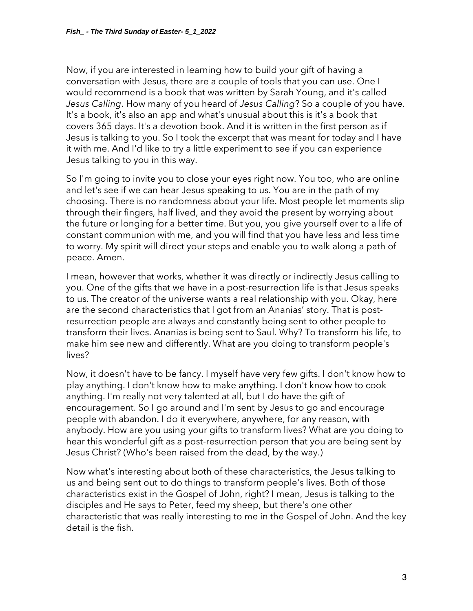Now, if you are interested in learning how to build your gift of having a conversation with Jesus, there are a couple of tools that you can use. One I would recommend is a book that was written by Sarah Young, and it's called *Jesus Calling*. How many of you heard of *Jesus Calling*? So a couple of you have. It's a book, it's also an app and what's unusual about this is it's a book that covers 365 days. It's a devotion book. And it is written in the first person as if Jesus is talking to you. So I took the excerpt that was meant for today and I have it with me. And I'd like to try a little experiment to see if you can experience Jesus talking to you in this way.

So I'm going to invite you to close your eyes right now. You too, who are online and let's see if we can hear Jesus speaking to us. You are in the path of my choosing. There is no randomness about your life. Most people let moments slip through their fingers, half lived, and they avoid the present by worrying about the future or longing for a better time. But you, you give yourself over to a life of constant communion with me, and you will find that you have less and less time to worry. My spirit will direct your steps and enable you to walk along a path of peace. Amen.

I mean, however that works, whether it was directly or indirectly Jesus calling to you. One of the gifts that we have in a post-resurrection life is that Jesus speaks to us. The creator of the universe wants a real relationship with you. Okay, here are the second characteristics that I got from an Ananias' story. That is postresurrection people are always and constantly being sent to other people to transform their lives. Ananias is being sent to Saul. Why? To transform his life, to make him see new and differently. What are you doing to transform people's lives?

Now, it doesn't have to be fancy. I myself have very few gifts. I don't know how to play anything. I don't know how to make anything. I don't know how to cook anything. I'm really not very talented at all, but I do have the gift of encouragement. So I go around and I'm sent by Jesus to go and encourage people with abandon. I do it everywhere, anywhere, for any reason, with anybody. How are you using your gifts to transform lives? What are you doing to hear this wonderful gift as a post-resurrection person that you are being sent by Jesus Christ? (Who's been raised from the dead, by the way.)

Now what's interesting about both of these characteristics, the Jesus talking to us and being sent out to do things to transform people's lives. Both of those characteristics exist in the Gospel of John, right? I mean, Jesus is talking to the disciples and He says to Peter, feed my sheep, but there's one other characteristic that was really interesting to me in the Gospel of John. And the key detail is the fish.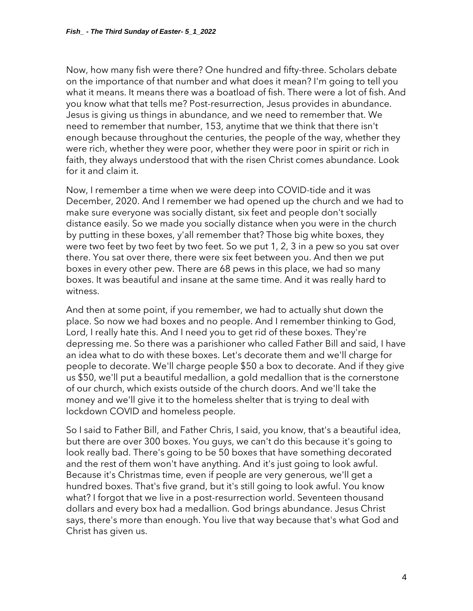Now, how many fish were there? One hundred and fifty-three. Scholars debate on the importance of that number and what does it mean? I'm going to tell you what it means. It means there was a boatload of fish. There were a lot of fish. And you know what that tells me? Post-resurrection, Jesus provides in abundance. Jesus is giving us things in abundance, and we need to remember that. We need to remember that number, 153, anytime that we think that there isn't enough because throughout the centuries, the people of the way, whether they were rich, whether they were poor, whether they were poor in spirit or rich in faith, they always understood that with the risen Christ comes abundance. Look for it and claim it.

Now, I remember a time when we were deep into COVID-tide and it was December, 2020. And I remember we had opened up the church and we had to make sure everyone was socially distant, six feet and people don't socially distance easily. So we made you socially distance when you were in the church by putting in these boxes, y'all remember that? Those big white boxes, they were two feet by two feet by two feet. So we put 1, 2, 3 in a pew so you sat over there. You sat over there, there were six feet between you. And then we put boxes in every other pew. There are 68 pews in this place, we had so many boxes. It was beautiful and insane at the same time. And it was really hard to witness.

And then at some point, if you remember, we had to actually shut down the place. So now we had boxes and no people. And I remember thinking to God, Lord, I really hate this. And I need you to get rid of these boxes. They're depressing me. So there was a parishioner who called Father Bill and said, I have an idea what to do with these boxes. Let's decorate them and we'll charge for people to decorate. We'll charge people \$50 a box to decorate. And if they give us \$50, we'll put a beautiful medallion, a gold medallion that is the cornerstone of our church, which exists outside of the church doors. And we'll take the money and we'll give it to the homeless shelter that is trying to deal with lockdown COVID and homeless people.

So I said to Father Bill, and Father Chris, I said, you know, that's a beautiful idea, but there are over 300 boxes. You guys, we can't do this because it's going to look really bad. There's going to be 50 boxes that have something decorated and the rest of them won't have anything. And it's just going to look awful. Because it's Christmas time, even if people are very generous, we'll get a hundred boxes. That's five grand, but it's still going to look awful. You know what? I forgot that we live in a post-resurrection world. Seventeen thousand dollars and every box had a medallion. God brings abundance. Jesus Christ says, there's more than enough. You live that way because that's what God and Christ has given us.